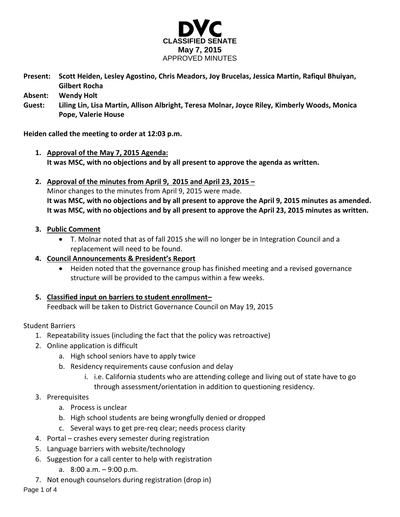

**Present: Scott Heiden, Lesley Agostino, Chris Meadors, Joy Brucelas, Jessica Martin, Rafiqul Bhuiyan, Gilbert Rocha**

**Absent: Wendy Holt**

**Guest: Liling Lin, Lisa Martin, Allison Albright, Teresa Molnar, Joyce Riley, Kimberly Woods, Monica Pope, Valerie House**

**Heiden called the meeting to order at 12:03 p.m.**

- **1. Approval of the May 7, 2015 Agenda: It was MSC, with no objections and by all present to approve the agenda as written.**
- **2. Approval of the minutes from April 9, 2015 and April 23, 2015 –** Minor changes to the minutes from April 9, 2015 were made. **It was MSC, with no objections and by all present to approve the April 9, 2015 minutes as amended. It was MSC, with no objections and by all present to approve the April 23, 2015 minutes as written.**

### **3. Public Comment**

- T. Molnar noted that as of fall 2015 she will no longer be in Integration Council and a replacement will need to be found.
- **4. Council Announcements & President's Report**
	- Heiden noted that the governance group has finished meeting and a revised governance structure will be provided to the campus within a few weeks.
- **5. Classified input on barriers to student enrollment–**

Feedback will be taken to District Governance Council on May 19, 2015

Student Barriers

- 1. Repeatability issues (including the fact that the policy was retroactive)
- 2. Online application is difficult
	- a. High school seniors have to apply twice
	- b. Residency requirements cause confusion and delay
		- i. i.e. California students who are attending college and living out of state have to go through assessment/orientation in addition to questioning residency.
- 3. Prerequisites
	- a. Process is unclear
	- b. High school students are being wrongfully denied or dropped
	- c. Several ways to get pre-req clear; needs process clarity
- 4. Portal crashes every semester during registration
- 5. Language barriers with website/technology
- 6. Suggestion for a call center to help with registration
	- a. 8:00 a.m. 9:00 p.m.
- 7. Not enough counselors during registration (drop in)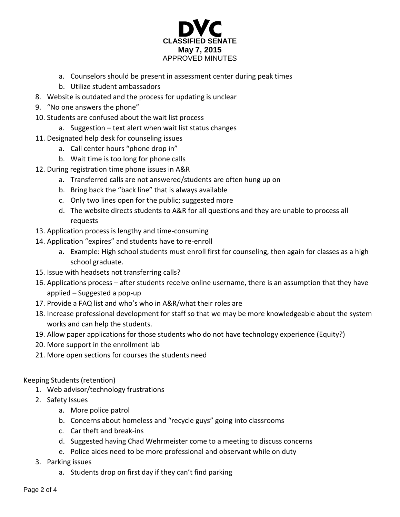

- a. Counselors should be present in assessment center during peak times
- b. Utilize student ambassadors
- 8. Website is outdated and the process for updating is unclear
- 9. "No one answers the phone"
- 10. Students are confused about the wait list process
	- a. Suggestion text alert when wait list status changes
- 11. Designated help desk for counseling issues
	- a. Call center hours "phone drop in"
	- b. Wait time is too long for phone calls
- 12. During registration time phone issues in A&R
	- a. Transferred calls are not answered/students are often hung up on
	- b. Bring back the "back line" that is always available
	- c. Only two lines open for the public; suggested more
	- d. The website directs students to A&R for all questions and they are unable to process all requests
- 13. Application process is lengthy and time-consuming
- 14. Application "expires" and students have to re-enroll
	- a. Example: High school students must enroll first for counseling, then again for classes as a high school graduate.
- 15. Issue with headsets not transferring calls?
- 16. Applications process after students receive online username, there is an assumption that they have applied – Suggested a pop-up
- 17. Provide a FAQ list and who's who in A&R/what their roles are
- 18. Increase professional development for staff so that we may be more knowledgeable about the system works and can help the students.
- 19. Allow paper applications for those students who do not have technology experience (Equity?)
- 20. More support in the enrollment lab
- 21. More open sections for courses the students need

# Keeping Students (retention)

- 1. Web advisor/technology frustrations
- 2. Safety Issues
	- a. More police patrol
	- b. Concerns about homeless and "recycle guys" going into classrooms
	- c. Car theft and break-ins
	- d. Suggested having Chad Wehrmeister come to a meeting to discuss concerns
	- e. Police aides need to be more professional and observant while on duty
- 3. Parking issues
	- a. Students drop on first day if they can't find parking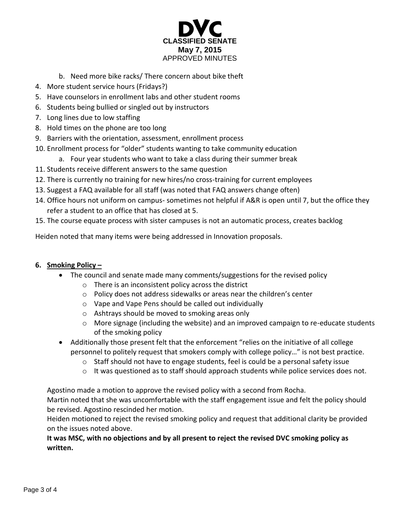

- b. Need more bike racks/ There concern about bike theft
- 4. More student service hours (Fridays?)
- 5. Have counselors in enrollment labs and other student rooms
- 6. Students being bullied or singled out by instructors
- 7. Long lines due to low staffing
- 8. Hold times on the phone are too long
- 9. Barriers with the orientation, assessment, enrollment process
- 10. Enrollment process for "older" students wanting to take community education
	- a. Four year students who want to take a class during their summer break
- 11. Students receive different answers to the same question
- 12. There is currently no training for new hires/no cross-training for current employees
- 13. Suggest a FAQ available for all staff (was noted that FAQ answers change often)
- 14. Office hours not uniform on campus- sometimes not helpful if A&R is open until 7, but the office they refer a student to an office that has closed at 5.
- 15. The course equate process with sister campuses is not an automatic process, creates backlog

Heiden noted that many items were being addressed in Innovation proposals.

# **6. Smoking Policy –**

- The council and senate made many comments/suggestions for the revised policy
	- o There is an inconsistent policy across the district
	- o Policy does not address sidewalks or areas near the children's center
	- o Vape and Vape Pens should be called out individually
	- o Ashtrays should be moved to smoking areas only
	- o More signage (including the website) and an improved campaign to re-educate students of the smoking policy
- Additionally those present felt that the enforcement "relies on the initiative of all college personnel to politely request that smokers comply with college policy…" is not best practice.
	- o Staff should not have to engage students, feel is could be a personal safety issue
	- o It was questioned as to staff should approach students while police services does not.

Agostino made a motion to approve the revised policy with a second from Rocha.

Martin noted that she was uncomfortable with the staff engagement issue and felt the policy should be revised. Agostino rescinded her motion.

Heiden motioned to reject the revised smoking policy and request that additional clarity be provided on the issues noted above.

# **It was MSC, with no objections and by all present to reject the revised DVC smoking policy as written.**